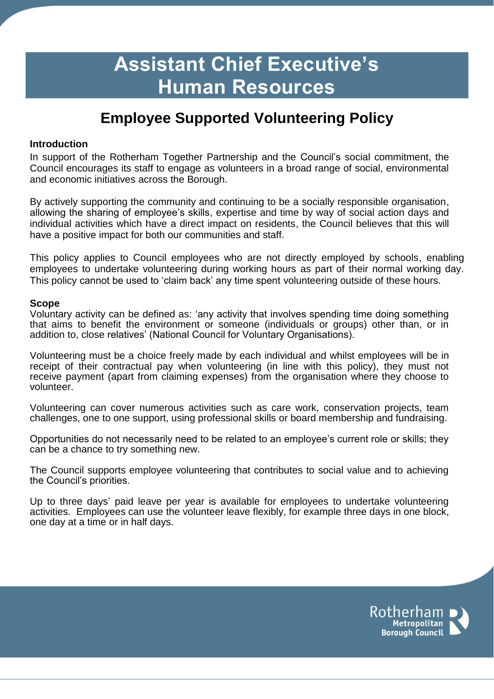# **Assistant Chief Executive's Human Resources**

## **Employee Supported Volunteering Policy**

#### **Introduction**

In support of the Rotherham Together Partnership and the Council's social commitment, the Council encourages its staff to engage as volunteers in a broad range of social, environmental and economic initiatives across the Borough.

By actively supporting the community and continuing to be a socially responsible organisation, allowing the sharing of employee's skills, expertise and time by way of social action days and individual activities which have a direct impact on residents, the Council believes that this will have a positive impact for both our communities and staff.

This policy applies to Council employees who are not directly employed by schools, enabling employees to undertake volunteering during working hours as part of their normal working day. This policy cannot be used to 'claim back' any time spent volunteering outside of these hours.

#### **Scope**

Voluntary activity can be defined as: 'any activity that involves spending time doing something that aims to benefit the environment or someone (individuals or groups) other than, or in addition to, close relatives' (National Council for Voluntary Organisations).

Volunteering must be a choice freely made by each individual and whilst employees will be in receipt of their contractual pay when volunteering (in line with this policy), they must not receive payment (apart from claiming expenses) from the organisation where they choose to volunteer.

Volunteering can cover numerous activities such as care work, conservation projects, team challenges, one to one support, using professional skills or board membership and fundraising.

Opportunities do not necessarily need to be related to an employee's current role or skills; they can be a chance to try something new.

The Council supports employee volunteering that contributes to social value and to achieving the Council's priorities.

Up to three days' paid leave per year is available for employees to undertake volunteering activities. Employees can use the volunteer leave flexibly, for example three days in one block, one day at a time or in half days.

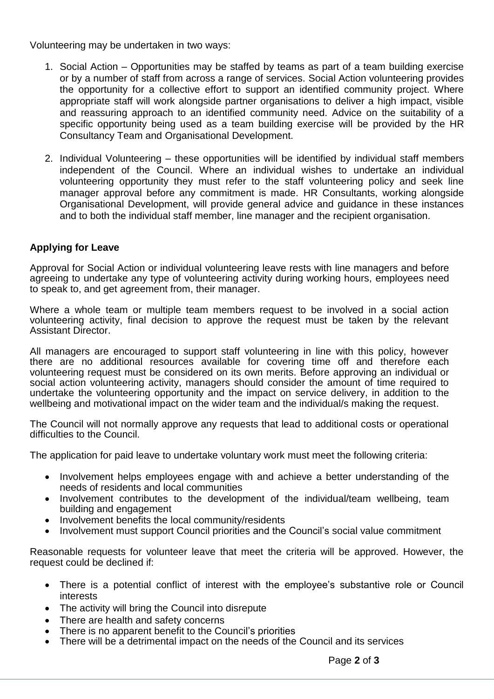Volunteering may be undertaken in two ways:

- 1. Social Action Opportunities may be staffed by teams as part of a team building exercise or by a number of staff from across a range of services. Social Action volunteering provides the opportunity for a collective effort to support an identified community project. Where appropriate staff will work alongside partner organisations to deliver a high impact, visible and reassuring approach to an identified community need. Advice on the suitability of a specific opportunity being used as a team building exercise will be provided by the HR Consultancy Team and Organisational Development.
- 2. Individual Volunteering these opportunities will be identified by individual staff members independent of the Council. Where an individual wishes to undertake an individual volunteering opportunity they must refer to the staff volunteering policy and seek line manager approval before any commitment is made. HR Consultants, working alongside Organisational Development, will provide general advice and guidance in these instances and to both the individual staff member, line manager and the recipient organisation.

### **Applying for Leave**

Approval for Social Action or individual volunteering leave rests with line managers and before agreeing to undertake any type of volunteering activity during working hours, employees need to speak to, and get agreement from, their manager.

Where a whole team or multiple team members request to be involved in a social action volunteering activity, final decision to approve the request must be taken by the relevant Assistant Director.

All managers are encouraged to support staff volunteering in line with this policy, however there are no additional resources available for covering time off and therefore each volunteering request must be considered on its own merits. Before approving an individual or social action volunteering activity, managers should consider the amount of time required to undertake the volunteering opportunity and the impact on service delivery, in addition to the wellbeing and motivational impact on the wider team and the individual/s making the request.

The Council will not normally approve any requests that lead to additional costs or operational difficulties to the Council.

The application for paid leave to undertake voluntary work must meet the following criteria:

- Involvement helps employees engage with and achieve a better understanding of the needs of residents and local communities
- Involvement contributes to the development of the individual/team wellbeing, team building and engagement
- Involvement benefits the local community/residents
- Involvement must support Council priorities and the Council's social value commitment

Reasonable requests for volunteer leave that meet the criteria will be approved. However, the request could be declined if:

- There is a potential conflict of interest with the employee's substantive role or Council interests
- The activity will bring the Council into disrepute
- There are health and safety concerns
- There is no apparent benefit to the Council's priorities
- There will be a detrimental impact on the needs of the Council and its services